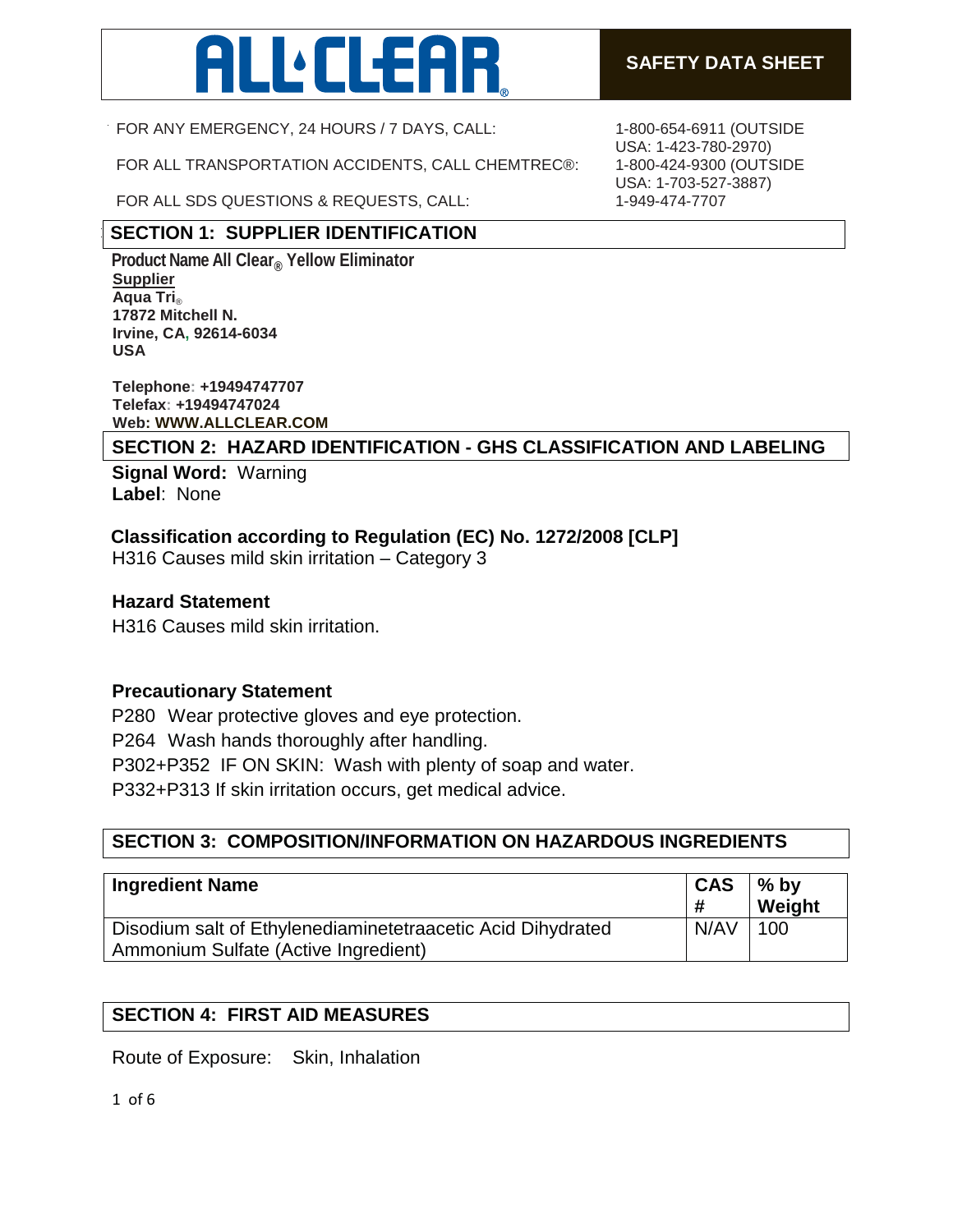

FOR ANY EMERGENCY, 24 HOURS / 7 DAYS, CALL:

FOR ALL TRANSPORTATION ACCIDENTS, CALL CHEMTREC®:

FOR ALL SDS QUESTIONS & REQUESTS, CALL:

# **SECTION 1: SUPPLIER IDENTIFICATION**

**Product Name All Clear<sup>®</sup> Yellow Eliminator Supplier** (800)228-4646 **Aqua Tri**® INFORMACIÓN EMERGENCY TELEPHONE (300) 535-5053 OR (352-5053 OR (352-5053) 335-5050 OR (352-5053 OR (352-5053) 323-35000 OR (352-5053 OR (352-5053) 335-5053 OR (352-5053) 335-50500 OR (352-5053) 335-5050 OR (352-5053) 335-5 **17872 Mitchell N. Irvine, CA, 92614-6034 USA**

**Telephone: +19494747707 Telefax: +19494747024 Web: WWW.ALLCLEAR.COM** 

**SECTION 2: HAZARD IDENTIFICATION - GHS CLASSIFICATION AND LABELING**

**Signal Word:** Warning **Label**: None

# **Classification according to Regulation (EC) No. 1272/2008 [CLP]**

H316 Causes mild skin irritation – Category 3

### **Hazard Statement**

H316 Causes mild skin irritation.

### **Precautionary Statement**

P280 Wear protective gloves and eye protection. P264 Wash hands thoroughly after handling. P302+P352 IF ON SKIN: Wash with plenty of soap and water. P332+P313 If skin irritation occurs, get medical advice.

# **SECTION 3: COMPOSITION/INFORMATION ON HAZARDOUS INGREDIENTS**

| <b>Ingredient Name</b>                                                                              | <b>CAS</b><br># | $\frac{9}{6}$ by<br>Weight |
|-----------------------------------------------------------------------------------------------------|-----------------|----------------------------|
| Disodium salt of Ethylenediaminetetraacetic Acid Dihydrated<br>Ammonium Sulfate (Active Ingredient) | N/AV            | 100                        |

### **SECTION 4: FIRST AID MEASURES**

Route of Exposure: Skin, Inhalation

1 of 6

1-800-654-6911 (OUTSIDE USA: 1-423-780-2970) 1-800-424-9300 (OUTSIDE USA: 1-703-527-3887) 1-949-474-7707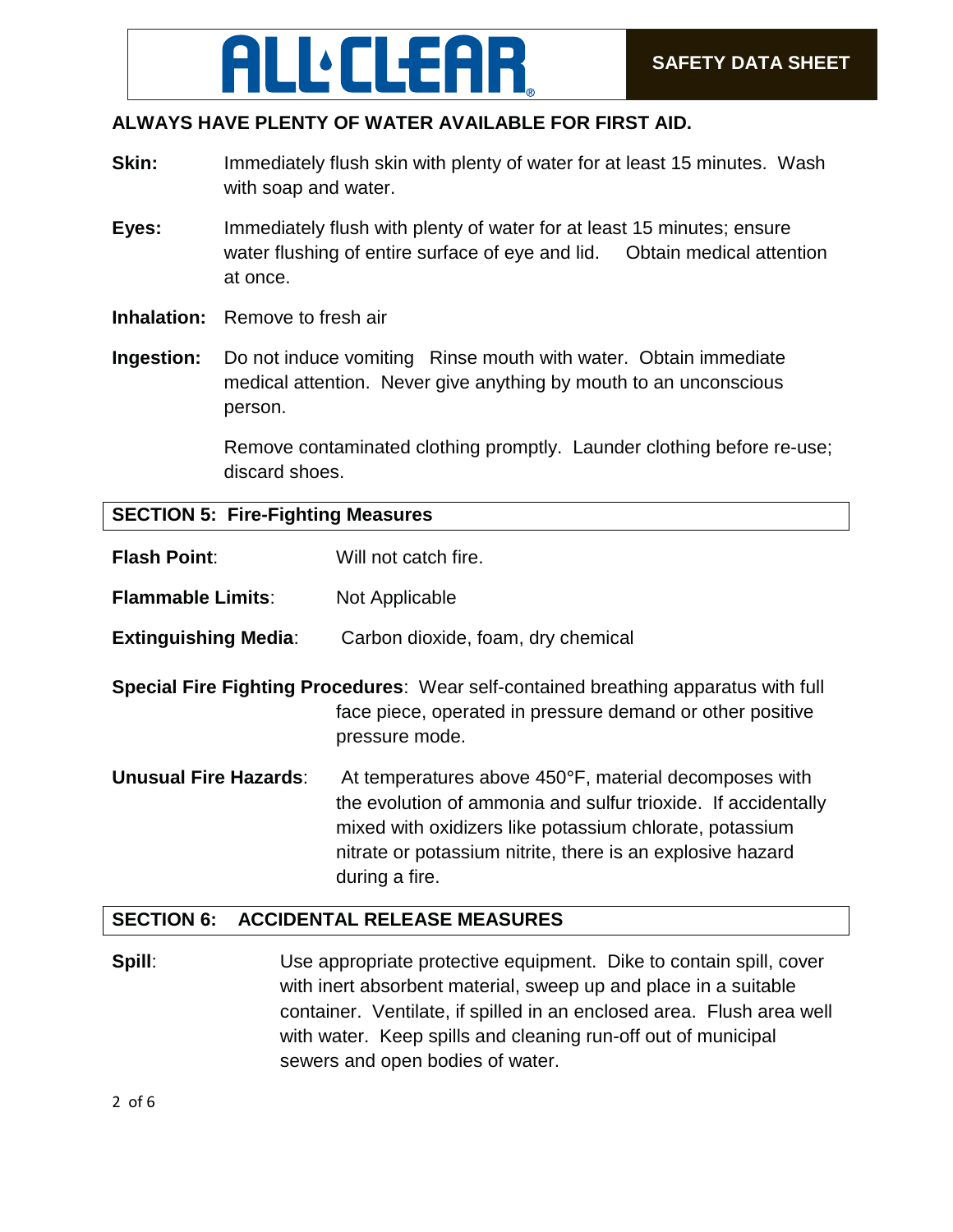# **SAFETY DATA SHEET YELLOW SAFETY DATA SHEET**

# **ALWAYS HAVE PLENTY OF WATER AVAILABLE FOR FIRST AID.**

- **Skin:** Immediately flush skin with plenty of water for at least 15 minutes. Wash with soap and water.
- **Eyes:** Immediately flush with plenty of water for at least 15 minutes; ensure water flushing of entire surface of eye and lid. Obtain medical attention at once.
- **Inhalation:** Remove to fresh air
- **Ingestion:** Do not induce vomiting Rinse mouth with water. Obtain immediate medical attention. Never give anything by mouth to an unconscious person.

Remove contaminated clothing promptly. Launder clothing before re-use; discard shoes.

#### **SECTION 5: Fire-Fighting Measures**

| <b>Flash Point:</b>          | Will not catch fire.                                                                                                                                                                                                                                              |
|------------------------------|-------------------------------------------------------------------------------------------------------------------------------------------------------------------------------------------------------------------------------------------------------------------|
| <b>Flammable Limits:</b>     | Not Applicable                                                                                                                                                                                                                                                    |
| <b>Extinguishing Media:</b>  | Carbon dioxide, foam, dry chemical                                                                                                                                                                                                                                |
|                              | <b>Special Fire Fighting Procedures:</b> Wear self-contained breathing apparatus with full<br>face piece, operated in pressure demand or other positive<br>pressure mode.                                                                                         |
| <b>Unusual Fire Hazards:</b> | At temperatures above 450°F, material decomposes with<br>the evolution of ammonia and sulfur trioxide. If accidentally<br>mixed with oxidizers like potassium chlorate, potassium<br>nitrate or potassium nitrite, there is an explosive hazard<br>during a fire. |

#### **SECTION 6: ACCIDENTAL RELEASE MEASURES**

**Spill:** Use appropriate protective equipment. Dike to contain spill, cover with inert absorbent material, sweep up and place in a suitable container. Ventilate, if spilled in an enclosed area. Flush area well with water. Keep spills and cleaning run-off out of municipal sewers and open bodies of water.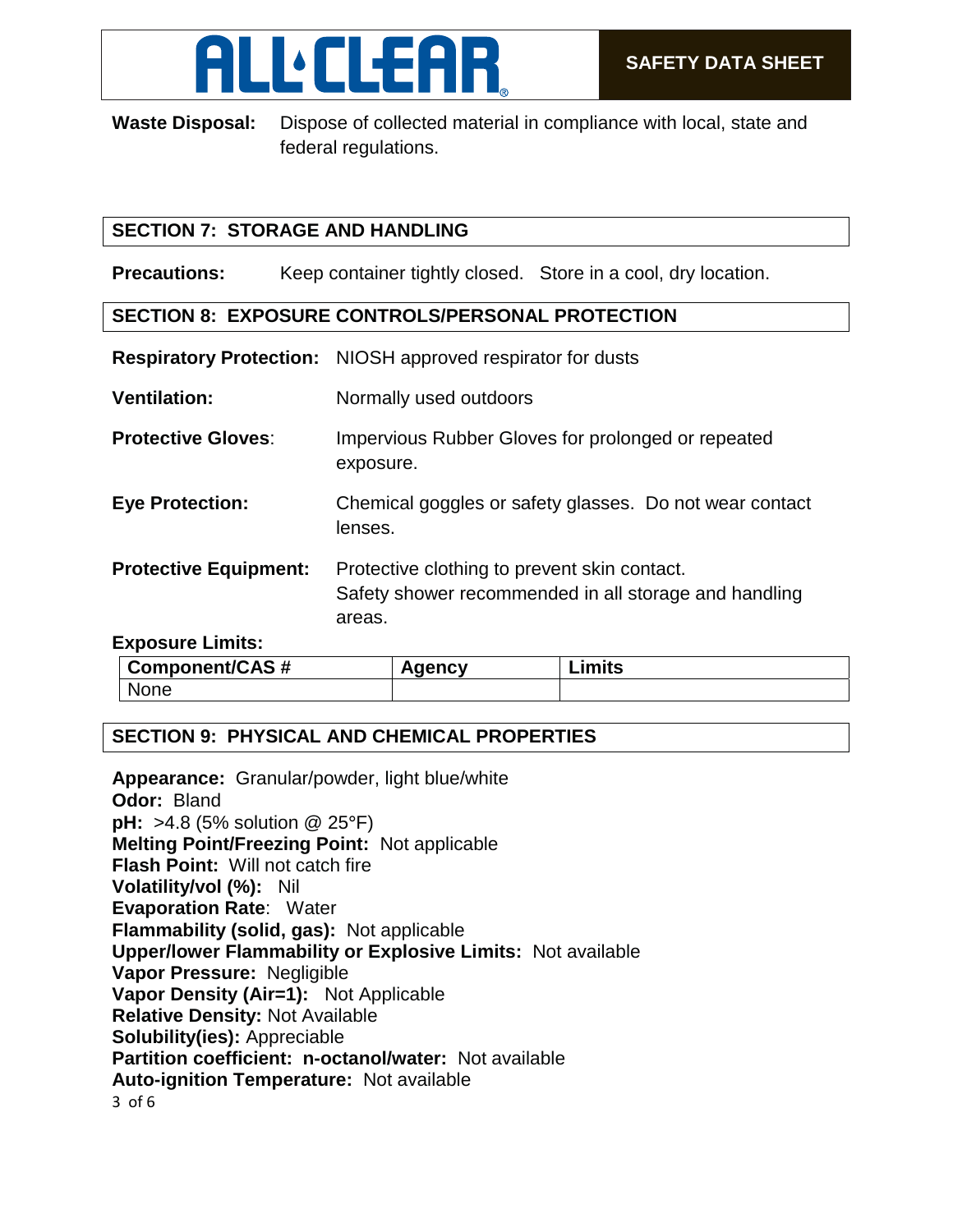

**Waste Disposal:** Dispose of collected material in compliance with local, state and federal regulations.

# **SECTION 7: STORAGE AND HANDLING**

**Precautions:** Keep container tightly closed. Store in a cool, dry location.

## **SECTION 8: EXPOSURE CONTROLS/PERSONAL PROTECTION**

|                              | Respiratory Protection: NIOSH approved respirator for dusts                                                     |
|------------------------------|-----------------------------------------------------------------------------------------------------------------|
| <b>Ventilation:</b>          | Normally used outdoors                                                                                          |
| <b>Protective Gloves:</b>    | Impervious Rubber Gloves for prolonged or repeated<br>exposure.                                                 |
| <b>Eye Protection:</b>       | Chemical goggles or safety glasses. Do not wear contact<br>lenses.                                              |
| <b>Protective Equipment:</b> | Protective clothing to prevent skin contact.<br>Safety shower recommended in all storage and handling<br>areas. |
| Evnocuro Limite:             |                                                                                                                 |

#### **Exposure Limits:**

| <b>Component/CAS#</b> | nencv | Limits |
|-----------------------|-------|--------|
| None                  |       |        |

### **SECTION 9: PHYSICAL AND CHEMICAL PROPERTIES**

3 of 6 **Appearance:** Granular/powder, light blue/white **Odor:** Bland **pH:** >4.8 (5% solution @ 25°F) **Melting Point/Freezing Point:** Not applicable **Flash Point:** Will not catch fire **Volatility/vol (%):** Nil **Evaporation Rate**: Water **Flammability (solid, gas):** Not applicable **Upper/lower Flammability or Explosive Limits:** Not available **Vapor Pressure:** Negligible **Vapor Density (Air=1):** Not Applicable **Relative Density:** Not Available **Solubility(ies):** Appreciable **Partition coefficient: n-octanol/water:** Not available **Auto-ignition Temperature:** Not available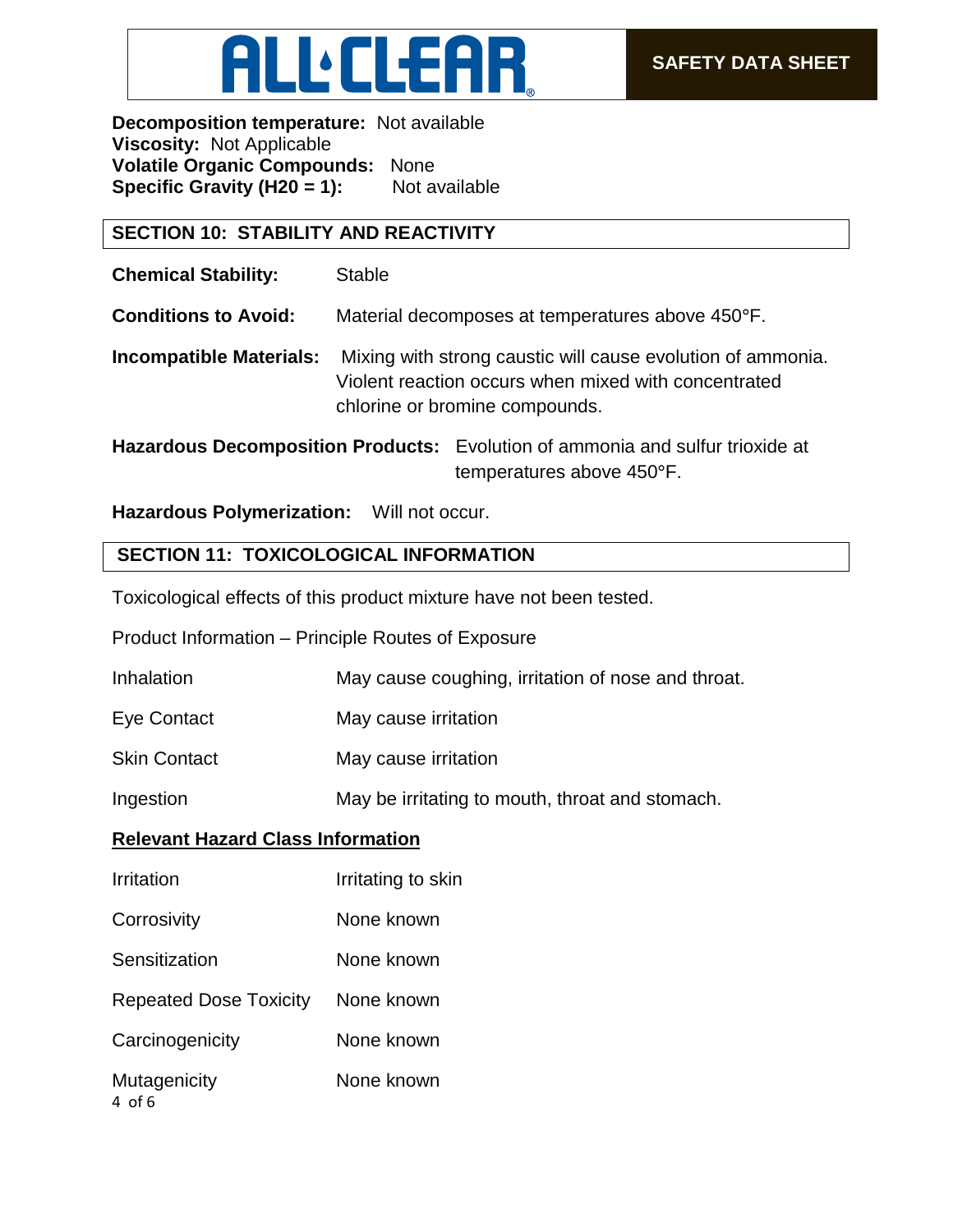

**Decomposition temperature:** Not available **Viscosity:** Not Applicable **Volatile Organic Compounds:** None **Specific Gravity (H20 = 1):** Not available

### **SECTION 10: STABILITY AND REACTIVITY**

**Chemical Stability:** Stable

**Conditions to Avoid:** Material decomposes at temperatures above 450°F.

**Incompatible Materials:** Mixing with strong caustic will cause evolution of ammonia. Violent reaction occurs when mixed with concentrated chlorine or bromine compounds.

**Hazardous Decomposition Products:** Evolution of ammonia and sulfur trioxide at temperatures above 450°F.

# **Hazardous Polymerization:** Will not occur.

# **SECTION 11: TOXICOLOGICAL INFORMATION**

Toxicological effects of this product mixture have not been tested.

Product Information – Principle Routes of Exposure

| Inhalation | May cause coughing, irritation of nose and throat. |
|------------|----------------------------------------------------|
|            |                                                    |

- Eye Contact May cause irritation
- Skin Contact May cause irritation

Ingestion May be irritating to mouth, throat and stomach.

# **Relevant Hazard Class Information**

4 of 6 Irritation **I**rritating to skin Corrosivity **None known** Sensitization None known Repeated Dose Toxicity None known Carcinogenicity None known Mutagenicity None known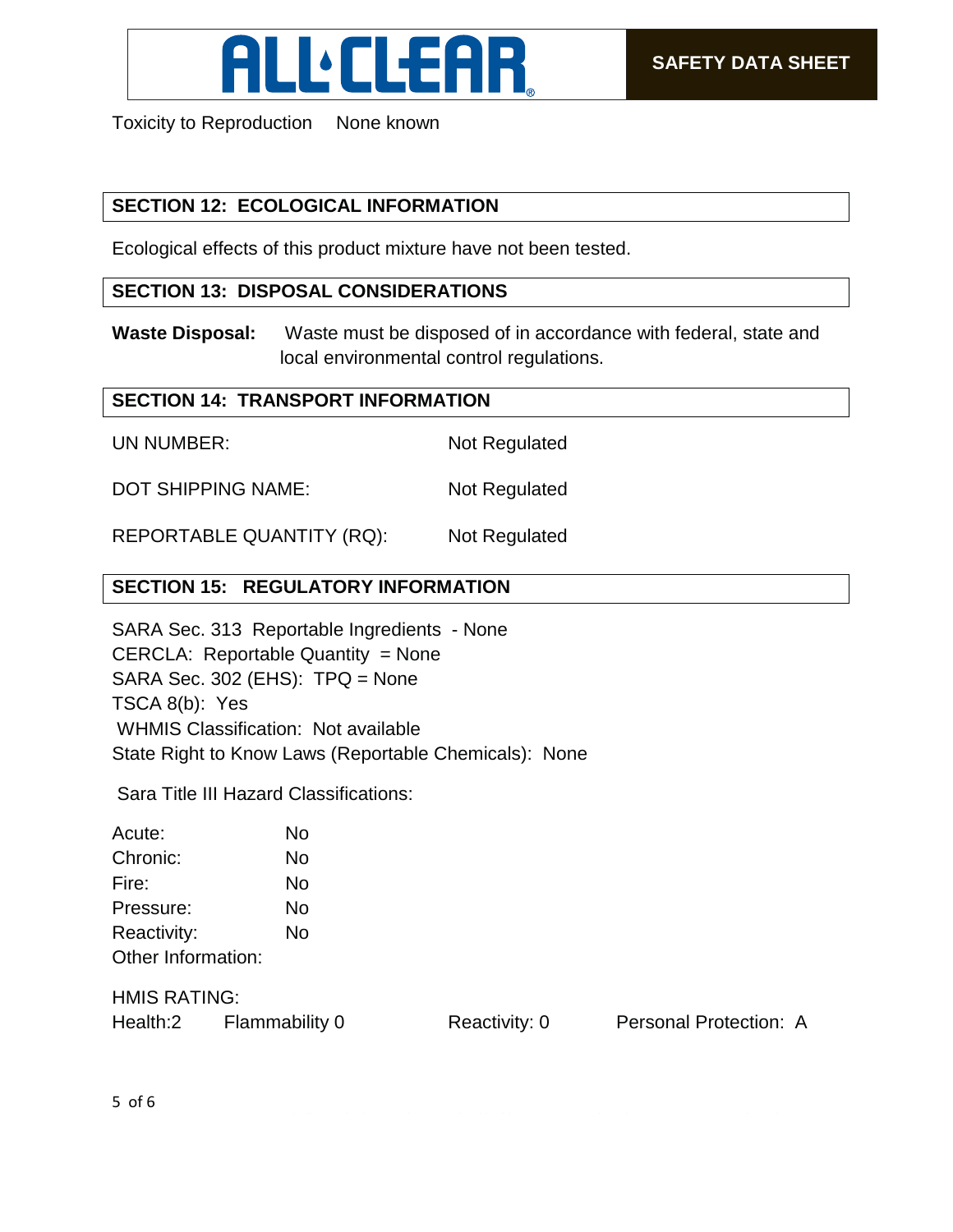

Toxicity to Reproduction None known

# **SECTION 12: ECOLOGICAL INFORMATION**

Ecological effects of this product mixture have not been tested.

## **SECTION 13: DISPOSAL CONSIDERATIONS**

**Waste Disposal:** Waste must be disposed of in accordance with federal, state and local environmental control regulations.

### **SECTION 14: TRANSPORT INFORMATION**

UN NUMBER: Not Regulated

DOT SHIPPING NAME: Not Regulated

REPORTABLE QUANTITY (RQ): Not Regulated

# **SECTION 15: REGULATORY INFORMATION**

SARA Sec. 313 Reportable Ingredients - None CERCLA: Reportable Quantity = None SARA Sec. 302 (EHS): TPQ = None TSCA 8(b): Yes WHMIS Classification: Not available State Right to Know Laws (Reportable Chemicals): None

Sara Title III Hazard Classifications:

| Acute:             | No |
|--------------------|----|
| Chronic:           | No |
| Fire:              | No |
| Pressure:          | No |
| Reactivity:        | No |
| Other Information: |    |

HMIS RATING:

Health:2 Flammability 0 Reactivity: 0 Personal Protection: A